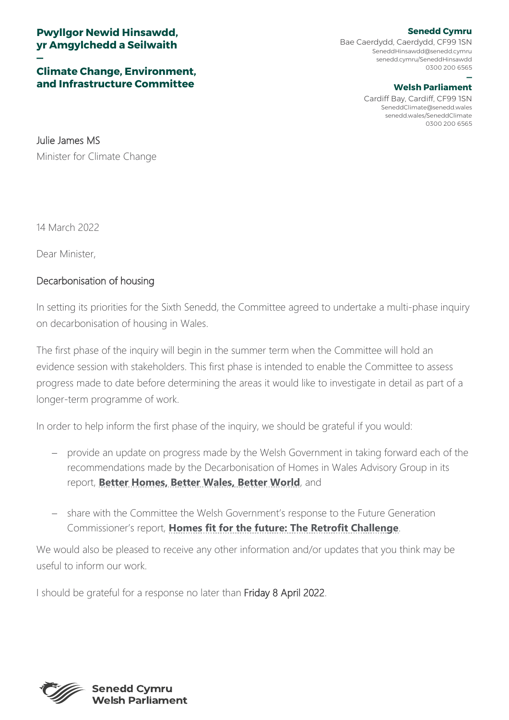## **Pwyllgor Newid Hinsawdd, yr Amgylchedd a Seilwaith**

## **— Climate Change, Environment, and Infrastructure Committee**

**Senedd Cymru** Bae Caerdydd, Caerdydd, CF99 1SN [SeneddHinsawdd@senedd.cymru](mailto:SeneddHinsawdd@senedd.cymru) senedd.cymru/SeneddHinsawdd 0300 200 6565

## **— Welsh Parliament**

Cardiff Bay, Cardiff, CF99 1SN [SeneddClimate@senedd.wales](mailto:SeneddClimate@senedd.wales) senedd.wales/SeneddClimate 0300 200 6565

Julie James MS Minister for Climate Change

14 March 2022

Dear Minister,

## Decarbonisation of housing

In setting its priorities for the Sixth Senedd, the Committee agreed to undertake a multi-phase inquiry on decarbonisation of housing in Wales.

The first phase of the inquiry will begin in the summer term when the Committee will hold an evidence session with stakeholders. This first phase is intended to enable the Committee to assess progress made to date before determining the areas it would like to investigate in detail as part of a longer-term programme of work.

In order to help inform the first phase of the inquiry, we should be grateful if you would:

- − provide an update on progress made by the Welsh Government in taking forward each of the recommendations made by the Decarbonisation of Homes in Wales Advisory Group in its report, **[Better Homes, Better Wales, Better World](https://gov.wales/sites/default/files/publications/2019-07/independent-review-on-decarbonising-welsh-homes-report.pdf)**, and
- − share with the Committee the Welsh Government's response to the Future Generation Commissioner's report, **[Homes fit for the future: The Retrofit Challenge](https://www.futuregenerations.wales/resources_posts/homes-fit-for-the-future-the-retrofit-challenge/)**.

We would also be pleased to receive any other information and/or updates that you think may be useful to inform our work.

I should be grateful for a response no later than Friday 8 April 2022.